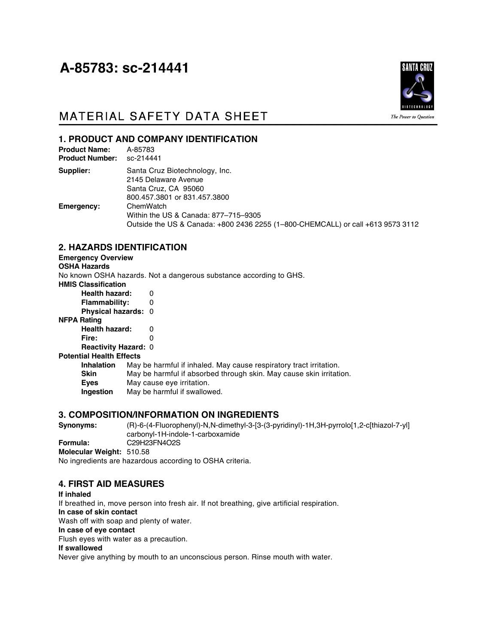# A-85783: sc-214441



## MATERIAL SAFETY DATA SHEET

## **1. PRODUCT AND COMPANY IDENTIFICATION**

| <b>Product Name:</b><br><b>Product Number:</b> | A-85783<br>sc-214441                                                                                                                 |
|------------------------------------------------|--------------------------------------------------------------------------------------------------------------------------------------|
| Supplier:                                      | Santa Cruz Biotechnology, Inc.<br>2145 Delaware Avenue<br>Santa Cruz, CA 95060<br>800.457.3801 or 831.457.3800                       |
| Emergency:                                     | ChemWatch<br>Within the US & Canada: 877-715-9305<br>Outside the US & Canada: +800 2436 2255 (1-800-CHEMCALL) or call +613 9573 3112 |

## **2. HAZARDS IDENTIFICATION**

#### **Emergency Overview**

**OSHA Hazards** No known OSHA hazards. Not a dangerous substance according to GHS. **HMIS Classification Health hazard:** 0 **Flammability:** 0 **Physical hazards:** 0 **NFPA Rating Health hazard:** 0 **Fire:** 0

## **Reactivity Hazard:** 0

#### **Potential Health Effects**

**Inhalation** May be harmful if inhaled. May cause respiratory tract irritation. **Skin** May be harmful if absorbed through skin. May cause skin irritation. **Eyes** May cause eye irritation. **Ingestion** May be harmful if swallowed.

## **3. COMPOSITION/INFORMATION ON INGREDIENTS**

**Synonyms:** (R)-6-(4-Fluorophenyl)-N,N-dimethyl-3-[3-(3-pyridinyl)-1H,3H-pyrrolo[1,2-c[thiazol-7-yl] carbonyl-1H-indole-1-carboxamide **Formula:** C29H23FN4O2S **Molecular Weight:** 510.58 No ingredients are hazardous according to OSHA criteria.

## **4. FIRST AID MEASURES**

#### **If inhaled**

If breathed in, move person into fresh air. If not breathing, give artificial respiration.

**In case of skin contact**

Wash off with soap and plenty of water.

## **In case of eye contact**

Flush eyes with water as a precaution.

#### **If swallowed**

Never give anything by mouth to an unconscious person. Rinse mouth with water.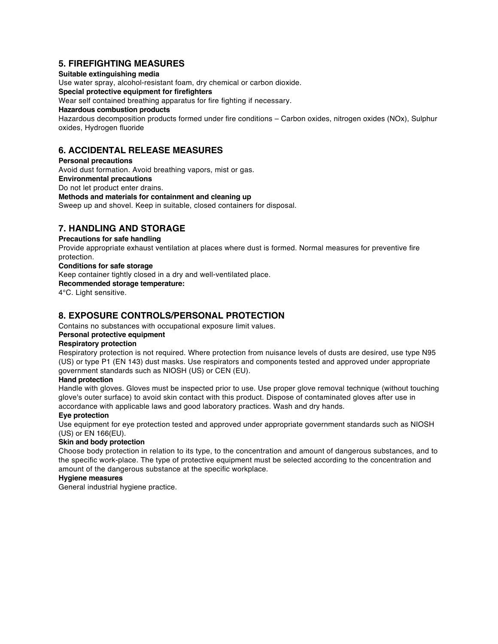## **5. FIREFIGHTING MEASURES**

#### **Suitable extinguishing media**

Use water spray, alcohol-resistant foam, dry chemical or carbon dioxide.

## **Special protective equipment for firefighters**

Wear self contained breathing apparatus for fire fighting if necessary.

#### **Hazardous combustion products**

Hazardous decomposition products formed under fire conditions – Carbon oxides, nitrogen oxides (NOx), Sulphur oxides, Hydrogen fluoride

## **6. ACCIDENTAL RELEASE MEASURES**

**Personal precautions** Avoid dust formation. Avoid breathing vapors, mist or gas. **Environmental precautions** Do not let product enter drains. **Methods and materials for containment and cleaning up** Sweep up and shovel. Keep in suitable, closed containers for disposal.

## **7. HANDLING AND STORAGE**

#### **Precautions for safe handling**

Provide appropriate exhaust ventilation at places where dust is formed. Normal measures for preventive fire protection.

## **Conditions for safe storage**

Keep container tightly closed in a dry and well-ventilated place.

#### **Recommended storage temperature:**

4°C. Light sensitive.

## **8. EXPOSURE CONTROLS/PERSONAL PROTECTION**

Contains no substances with occupational exposure limit values.

## **Personal protective equipment**

## **Respiratory protection**

Respiratory protection is not required. Where protection from nuisance levels of dusts are desired, use type N95 (US) or type P1 (EN 143) dust masks. Use respirators and components tested and approved under appropriate government standards such as NIOSH (US) or CEN (EU).

#### **Hand protection**

Handle with gloves. Gloves must be inspected prior to use. Use proper glove removal technique (without touching glove's outer surface) to avoid skin contact with this product. Dispose of contaminated gloves after use in accordance with applicable laws and good laboratory practices. Wash and dry hands.

#### **Eye protection**

Use equipment for eye protection tested and approved under appropriate government standards such as NIOSH (US) or EN 166(EU).

#### **Skin and body protection**

Choose body protection in relation to its type, to the concentration and amount of dangerous substances, and to the specific work-place. The type of protective equipment must be selected according to the concentration and amount of the dangerous substance at the specific workplace.

#### **Hygiene measures**

General industrial hygiene practice.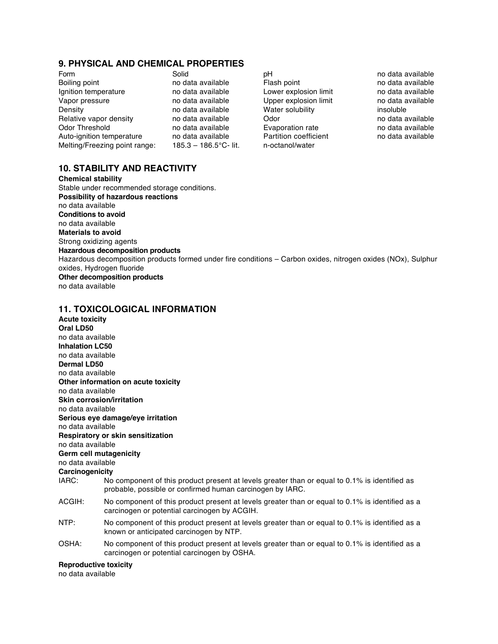## **9. PHYSICAL AND CHEMICAL PROPERTIES**

Form The Solid pH pH philometric philometric solid pH no data available pH no data available point pH no data available behind the Boiling point behind the Boiling point behind the Boiling point behind the Boiling point be Boiling point **no data available Fig. 1** Ignition temperature in a mo data available in Lower explosion limit in the data available Vapor pressure in the mo data available vapor explosion limit Vapor pressure explosion imit no data available Upper explosion limit Density no data available Water solubility insoluble Relative vapor density and data available controlled on the Odor controlled available controlled available Odor Threshold **no data available** evaporation rate no data available<br>Auto-ignition temperature no data available **Ratition coefficient** no data available Auto-ignition temperature no data available Melting/Freezing point range: 185.3 - 186.5°C- lit. n-octanol/water

## **10. STABILITY AND REACTIVITY**

**Chemical stability** Stable under recommended storage conditions. **Possibility of hazardous reactions** no data available **Conditions to avoid** no data available **Materials to avoid** Strong oxidizing agents **Hazardous decomposition products** Hazardous decomposition products formed under fire conditions – Carbon oxides, nitrogen oxides (NOx), Sulphur oxides, Hydrogen fluoride **Other decomposition products** no data available

## **11. TOXICOLOGICAL INFORMATION**

**Acute toxicity Oral LD50** no data available **Inhalation LC50** no data available **Dermal LD50** no data available **Other information on acute toxicity** no data available **Skin corrosion/irritation** no data available **Serious eye damage/eye irritation** no data available **Respiratory or skin sensitization** no data available **Germ cell mutagenicity** no data available **Carcinogenicity** IARC: No component of this product present at levels greater than or equal to 0.1% is identified as probable, possible or confirmed human carcinogen by IARC. ACGIH: No component of this product present at levels greater than or equal to 0.1% is identified as a carcinogen or potential carcinogen by ACGIH. NTP: No component of this product present at levels greater than or equal to 0.1% is identified as a known or anticipated carcinogen by NTP. OSHA: No component of this product present at levels greater than or equal to 0.1% is identified as a carcinogen or potential carcinogen by OSHA.

#### **Reproductive toxicity**

no data available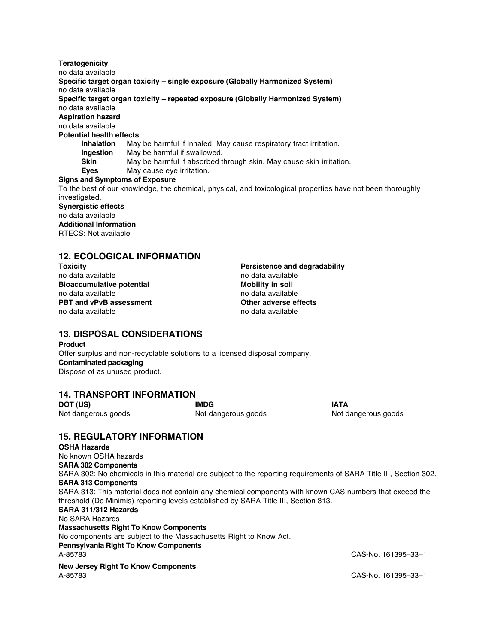**Teratogenicity** no data available **Specific target organ toxicity – single exposure (Globally Harmonized System)** no data available **Specific target organ toxicity – repeated exposure (Globally Harmonized System)** no data available **Aspiration hazard** no data available **Potential health effects Inhalation** May be harmful if inhaled. May cause respiratory tract irritation. **Ingestion** May be harmful if swallowed.<br>**Skin** May be harmful if absorbed to **Skin** May be harmful if absorbed through skin. May cause skin irritation. **Eyes** May cause eye irritation. **Signs and Symptoms of Exposure** To the best of our knowledge, the chemical, physical, and toxicological properties have not been thoroughly investigated. **Synergistic effects** no data available

**Additional Information** RTECS: Not available

## **12. ECOLOGICAL INFORMATION**

| Toxicity                         | Persistence and degradability |  |
|----------------------------------|-------------------------------|--|
| no data available                | no data available             |  |
| <b>Bioaccumulative potential</b> | <b>Mobility in soil</b>       |  |
| no data available                | no data available             |  |
| <b>PBT and vPvB assessment</b>   | Other adverse effects         |  |
| no data available                | no data available             |  |
|                                  |                               |  |

## **13. DISPOSAL CONSIDERATIONS**

**Product** Offer surplus and non-recyclable solutions to a licensed disposal company. **Contaminated packaging** Dispose of as unused product.

## **14. TRANSPORT INFORMATION**

**DOT (US) IMDG IATA** Not dangerous goods **Not dangerous goods** Not dangerous goods Not dangerous goods

## **15. REGULATORY INFORMATION**

**OSHA Hazards** No known OSHA hazards **SARA 302 Components** SARA 302: No chemicals in this material are subject to the reporting requirements of SARA Title III, Section 302. **SARA 313 Components** SARA 313: This material does not contain any chemical components with known CAS numbers that exceed the threshold (De Minimis) reporting levels established by SARA Title III, Section 313. **SARA 311/312 Hazards** No SARA Hazards **Massachusetts Right To Know Components** No components are subject to the Massachusetts Right to Know Act. **Pennsylvania Right To Know Components** CAS-No. 161395-33-1 **New Jersey Right To Know Components** A-85783 CAS-No. 161395–33–1